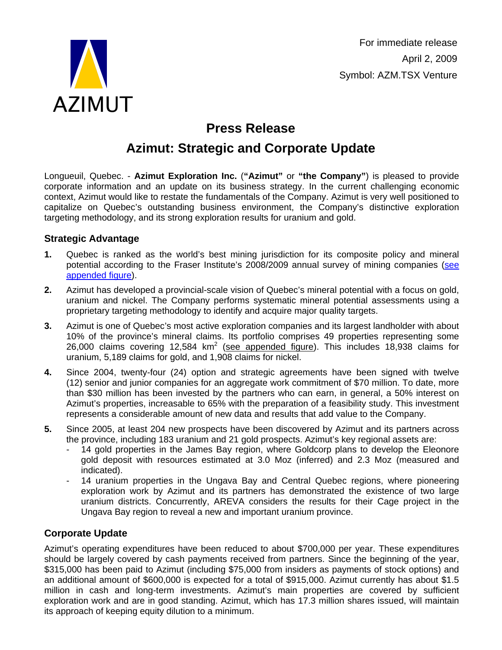

For immediate release April 2, 2009 Symbol: AZM.TSX Venture

# **Press Release**

## **Azimut: Strategic and Corporate Update**

Longueuil, Quebec. - **Azimut Exploration Inc.** (**"Azimut"** or **"the Company"**) is pleased to provide corporate information and an update on its business strategy. In the current challenging economic context, Azimut would like to restate the fundamentals of the Company. Azimut is very well positioned to capitalize on Quebec's outstanding business environment, the Company's distinctive exploration targeting methodology, and its strong exploration results for uranium and gold.

## **Strategic Advantage**

- **1.** Quebec is ranked as the world's best mining jurisdiction for its composite policy and mineral potential according to the Fraser Institute's 2008/2009 annual survey of mining companies [\(see](http://www.azimut-exploration.com/en/presentations/AZM_Corporate_FraserClaims.pdf)  [appended figure](http://www.azimut-exploration.com/en/AZM_Corporate_FraserClaims_En.pdf)).
- **2.** Azimut has developed a provincial-scale vision of Quebec's mineral potential with a focus on gold, uranium and nickel. The Company performs systematic mineral potential assessments using a proprietary targeting methodology to identify and acquire major quality targets.
- **3.** Azimut is one of Quebec's most active exploration companies and its largest landholder with about 10% of the province's mineral claims. Its portfolio comprises 49 properties representing some 26,000 claims covering 12,584  $km^2$  (see appended figure). This includes 18,938 claims for uranium, 5,189 claims for gold, and 1,908 claims for nickel.
- **4.** Since 2004, twenty-four (24) option and strategic agreements have been signed with twelve (12) senior and junior companies for an aggregate work commitment of \$70 million. To date, more than \$30 million has been invested by the partners who can earn, in general, a 50% interest on Azimut's properties, increasable to 65% with the preparation of a feasibility study. This investment represents a considerable amount of new data and results that add value to the Company.
- **5.** Since 2005, at least 204 new prospects have been discovered by Azimut and its partners across the province, including 183 uranium and 21 gold prospects. Azimut's key regional assets are:
	- 14 gold properties in the James Bay region, where Goldcorp plans to develop the Eleonore gold deposit with resources estimated at 3.0 Moz (inferred) and 2.3 Moz (measured and indicated).
	- 14 uranium properties in the Ungava Bay and Central Quebec regions, where pioneering exploration work by Azimut and its partners has demonstrated the existence of two large uranium districts. Concurrently, AREVA considers the results for their Cage project in the Ungava Bay region to reveal a new and important uranium province.

## **Corporate Update**

Azimut's operating expenditures have been reduced to about \$700,000 per year. These expenditures should be largely covered by cash payments received from partners. Since the beginning of the year, \$315,000 has been paid to Azimut (including \$75,000 from insiders as payments of stock options) and an additional amount of \$600,000 is expected for a total of \$915,000. Azimut currently has about \$1.5 million in cash and long-term investments. Azimut's main properties are covered by sufficient exploration work and are in good standing. Azimut, which has 17.3 million shares issued, will maintain its approach of keeping equity dilution to a minimum.